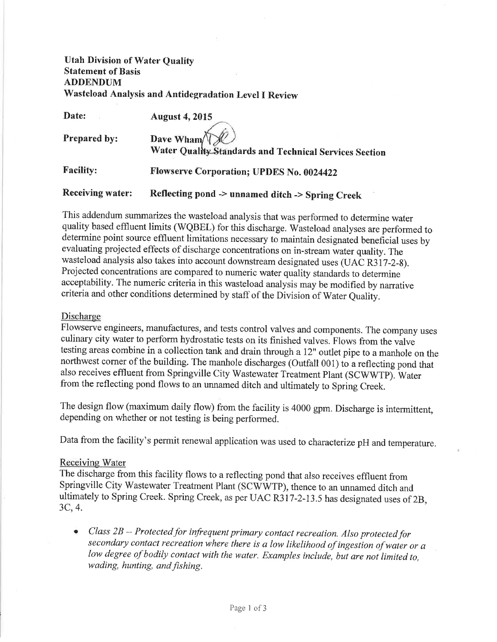# Utah Division of Water Quality Statement of Basis ADDENDUM Wasteload Analysis and Antidegradation Level I Review

| Date:                   | <b>August 4, 2015</b>                                  |
|-------------------------|--------------------------------------------------------|
| <b>Prepared by:</b>     | Dave Wham                                              |
|                         | Water Quality Standards and Technical Services Section |
| <b>Facility:</b>        | <b>Flowserve Corporation; UPDES No. 0024422</b>        |
| <b>Receiving water:</b> | Reflecting pond -> unnamed ditch -> Spring Creek       |

This addendum summarizes the wasteload analysis that was performed to determine water quality based effluent limits (WQBEL) for this discharge. Wasteload analyses are performed to determine point source effluent limitations necessary to maintain designated beneficial uses by evaluating projected effects of discharge concentrations on in-stream water quality. The wasteload analysis also takes into account downstream designated uses (UAC R317-2-8). Projected concentrations are compared to numeric water quality standards to determine acceptability. The numeric criteria in this wasteload analysis may be modified by narrative criteria and other conditions determined by staff of the Division of Water Quality.

### Discharge

Flowserve engineers, manufactures, and tests control valves and components. The company uses culinary city water to perform hydrostatic tests on its finished valves. Flows from the valve testing areas combine in a collection tank and drain through a 12" outlet pipe to a manhole on the northwest corner of the building. The manhole discharges (Outfall 001) to a reflecting pond that also receives effluent from Springville City Wastewater Treatment Plant (SCWWTP). Water from the reflecting pond flows to an ururamed ditch and ultimately to Spring Creek.

The design flow (maximum daily flow) from the facility is 4000 gpm. Discharge is intermittent, depending on whether or not testing is being performed.

Data from the facility's permit renewal application was used to characterize pH and temperature.

### Receiving Water

The discharge from this facility flows to a reflecting pond that also receives effluent from Springville City Wastewater Treatment Plant (SCWWTP), thence to an unnamed ditch and ultimately to Spring Creek. Spring Creek, as per UAC R317-2-13.5 has designated uses of 2B, 3C,4.

• Class 2B -- Protected for infrequent primary contact recreation. Also protected for secondary contact recreation where there is a low likelihood of ingestion of water or a low degree of bodily contact with the water. Examples include, but are not limited to, wading, hunting, and fishing.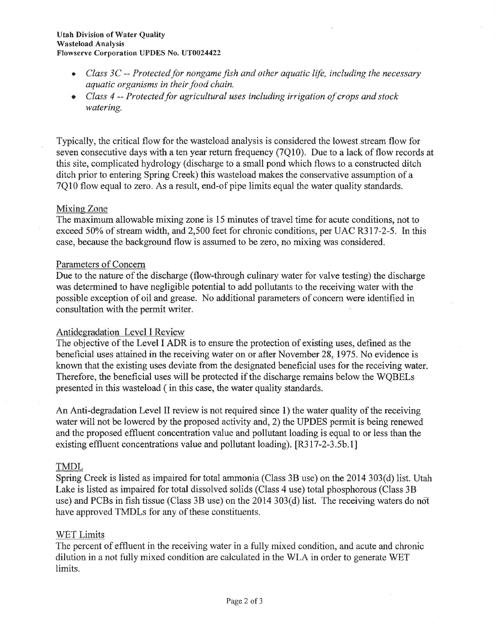- Class 3C -- Protected for nongame fish and other aquatic life, including the necessary aquatic organisms in their food chain.
- $\bullet$  Class 4 -- Protected for agricultural uses including irrigation of crops and stock watering.

Typically, the critical flow for the wasteload analysis is considered the lowest stream flow for seven consecutive days with a ten year return frequency (7Q10). Due to a lack of flow records at this site, complicated hydrology (discharge to a small pond which flows to a constructed ditch ditch prior to entering Spring Creek) this wasteload makes the conservative assumption of a 7Ql0 flow equal to zero. As a result, end-of pipe limits equal the water quality standards.

### Mixing Zone

The maximum allowable mixing zone is 15 minutes of travel time for acute conditions, not to exceed 50% of stream width, and 2,500 feet for chronic conditions, per UAC R317-2-5. In this case, because the background flow is assumed to be zero, no mixing was considered.

### Parameters of Concern

Due to the nature of the discharge (flow-through culinary water for valve testing) the discharge was determined to have negligible potential to add pollutants to the receiving water with the possible exception of oil and grease. No additional parameters of concern were identified in consultation with the permit writer.

## Antidegradation Level I Review

The objective of the Level I ADR is to ensure the protection of existing uses, defined as the beneficial uses attained in the receiving water on or after November 28,1975. No evidence is known that the existing uses deviate from the designated beneficial uses for the receiving water. Therefore, the beneficial uses will be protected if the discharge remains below the WQBELs presented in this wasteload ( in this case, the water quality standards.

An Anti-degradation Level II review is not required since 1) the water quality of the receiving water wili not be lowered by the proposed activity and,2) the UPDES permit is being renewed and the proposed effluent concentration value and pollutant loading is equal to or less than the existing effluent concentrations value and pollutant loading). [R317-2-3.5b.1]

#### TMDL

Spring Creek is listed as impaired for total ammonia (Class 38 use) on the 2014 303(d) list. Utah Lake is listed as impaired for total dissolved solids (Class 4 use) total phosphorous (Class 3B use) and PCBs in fish tissue (Class 3B use) on the  $2014303(d)$  list. The receiving waters do not have approved TMDLs for any of these constituents.

#### WET Limits

The percent of effluent in the receiving water in a fully mixed condition, and acute and chronic dilution in a not fully mixed condition are calculated in the WLA in order to generate WET limits.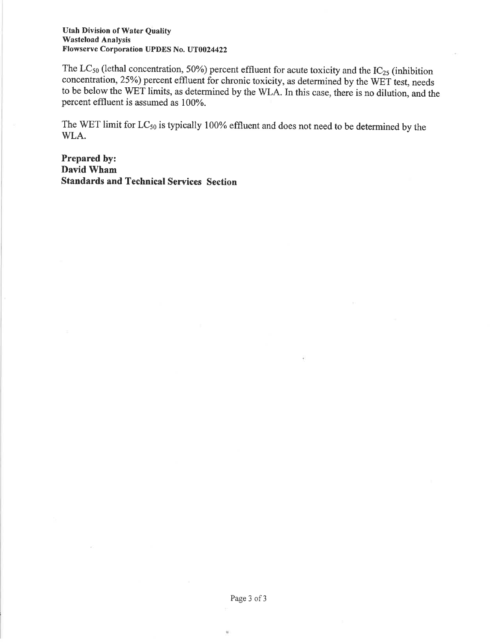#### Utah Division of Water Quality Wasteload Analysis Flowserve Corporation UPDES No. UT0024422

The  $LC_{50}$  (lethal concentration, 50%) percent effluent for acute toxicity and the  $IC_{25}$  (inhibition concentration, 25%) percent effluent for chronic toxicity, as determined by the WET test, needs to be below the WET limits, as determined by the WLA. In this case, there is no dilution, and the percent effluent is assumed as 100%.

The WET limit for  $LC_{50}$  is typically 100% effluent and does not need to be determined by the WLA.

Prepared by: David Wham Standards and Technical Services Section